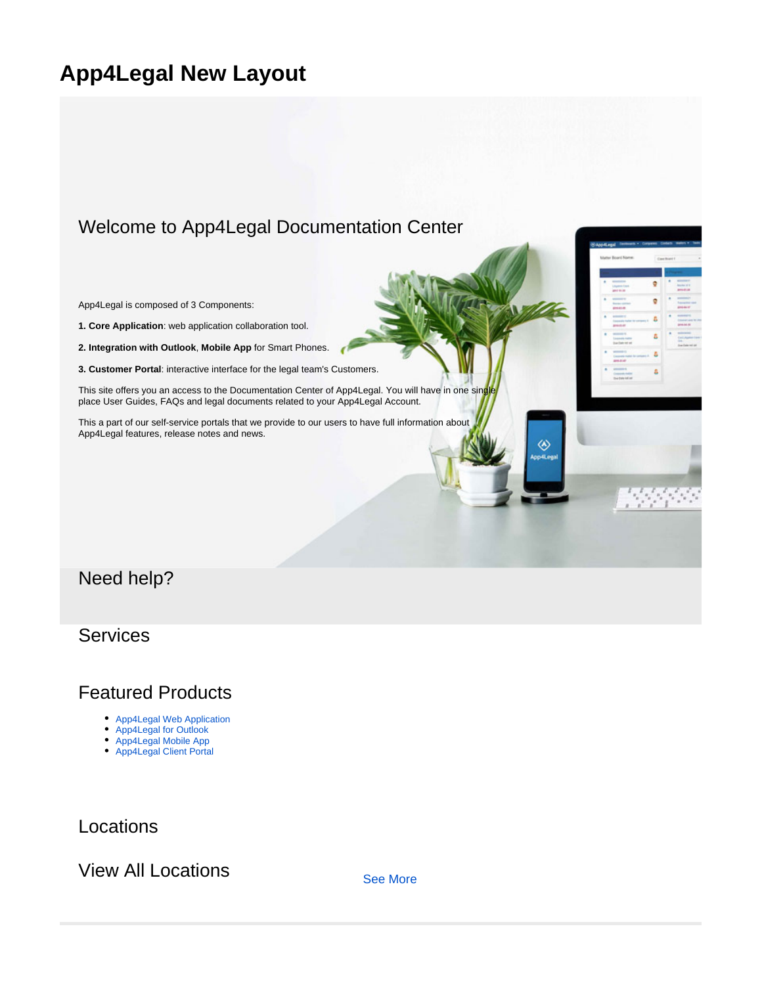# **App4Legal New Layout**

## Welcome to App4Legal Documentation Center

App4Legal is composed of 3 Components:

**1. Core Application**: web application collaboration tool.

**2. Integration with Outlook**, **Mobile App** for Smart Phones.

**3. Customer Portal**: interactive interface for the legal team's Customers.

This site offers you an access to the Documentation Center of App4Legal. You will have in one sing place User Guides, FAQs and legal documents related to your App4Legal Account.

This a part of our self-service portals that we provide to our users to have full information about App4Legal features, release notes and news.

# Need help?

### **Services**

### Featured Products

- [App4Legal Web Application](https://documentation.app4legal.com/display/brikitdemoSPLASH/Awesome+App4Legal+Core+Application)
- [App4Legal for Outlook](https://documentation.app4legal.com/display/brikitdemoSPLASH/Awesome+Outlook+Configuration)
- [App4Legal Mobile App](https://documentation.app4legal.com/display/brikitdemoSPLASH/AwesomeApp4Legal+Mobile+App)
- [App4Legal Client Portal](https://documentation.app4legal.com/display/brikitdemoSPLASH/Awesome+App4Legal+Client+Portal)

Locations

View All Locations [See More](https://app4legal.com)

◈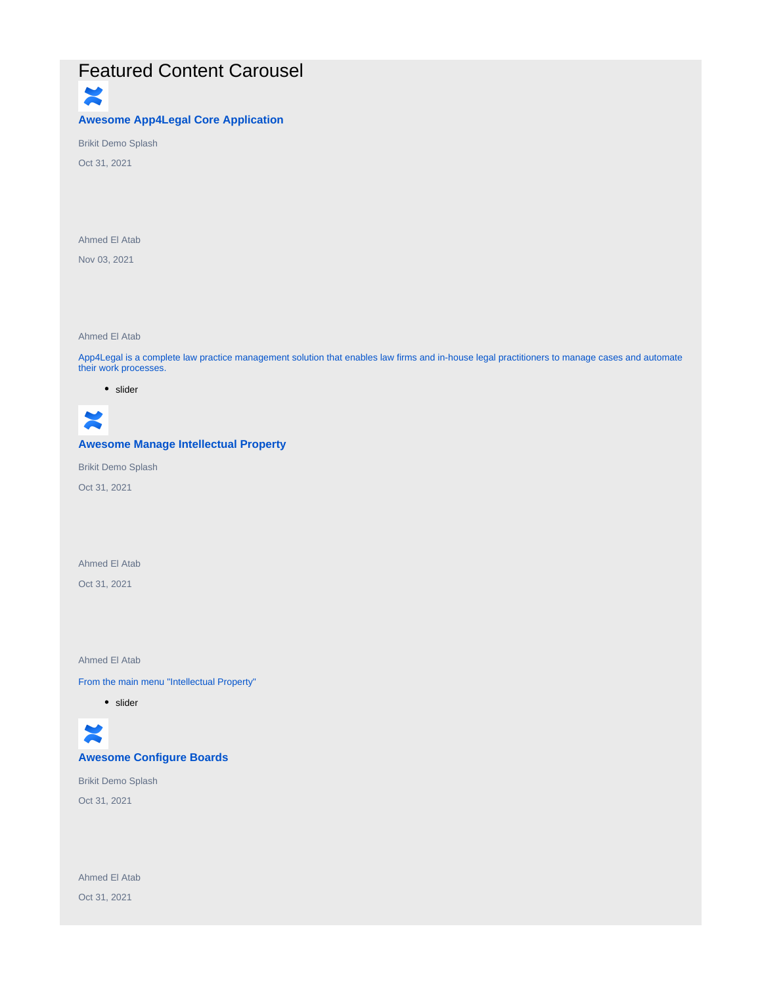## Featured Content Carousel

×

#### **Awesome App4Legal Core Application**

Brikit Demo Splash

Oct 31, 2021

Ahmed El Atab

Nov 03, 2021

Ahmed El Atab

App4Legal is a complete law practice management solution that enables law firms and in-house legal practitioners to manage cases and automate their work processes.

• slider



#### **Awesome Manage Intellectual Property**

Brikit Demo Splash

Oct 31, 2021

Ahmed El Atab

Oct 31, 2021

Ahmed El Atab

From the main menu "Intellectual Property"

• slider



**Awesome Configure Boards**

Brikit Demo Splash Oct 31, 2021

Ahmed El Atab Oct 31, 2021